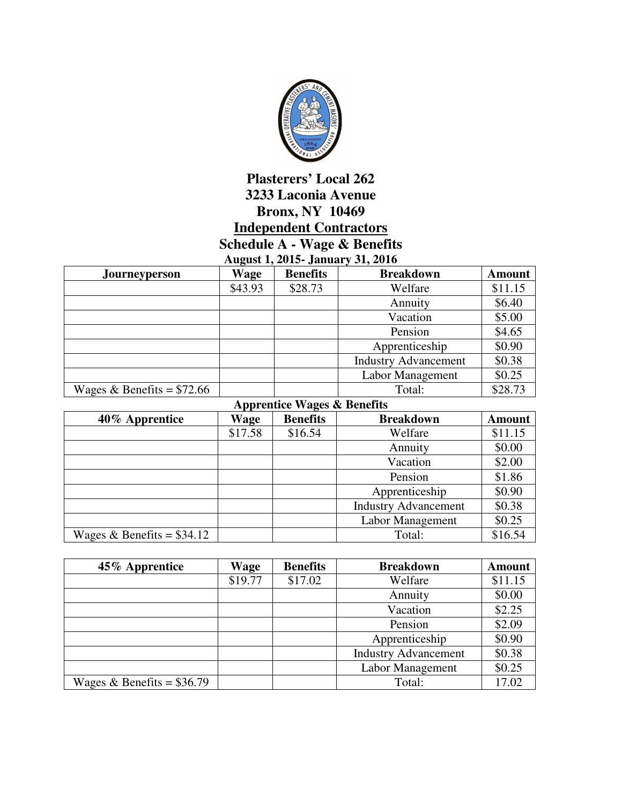

## **Plasterers' Local 262 3233 Laconia Avenue Bronx, NY 10469 Independent Contractors Schedule A - Wage & Benefits**

**August 1, 2015- January 31, 2016** 

| <b>Journeyperson</b>        | Wage    | <b>Benefits</b> | <b>Breakdown</b>            | <b>Amount</b> |
|-----------------------------|---------|-----------------|-----------------------------|---------------|
|                             | \$43.93 | \$28.73         | Welfare                     | \$11.15       |
|                             |         |                 | Annuity                     | \$6.40        |
|                             |         |                 | Vacation                    | \$5.00        |
|                             |         |                 | Pension                     | \$4.65        |
|                             |         |                 | Apprenticeship              | \$0.90        |
|                             |         |                 | <b>Industry Advancement</b> | \$0.38        |
|                             |         |                 | Labor Management            | \$0.25        |
| Wages & Benefits = $$72.66$ |         |                 | Total:                      | \$28.73       |

|  |  | <b>Apprentice Wages &amp; Benefits</b> |
|--|--|----------------------------------------|
|--|--|----------------------------------------|

| 40% Apprentice              | Wage    | <b>Benefits</b> | <b>Breakdown</b>            | <b>Amount</b> |
|-----------------------------|---------|-----------------|-----------------------------|---------------|
|                             | \$17.58 | \$16.54         | Welfare                     | \$11.15       |
|                             |         |                 | Annuity                     | \$0.00        |
|                             |         |                 | Vacation                    | \$2.00        |
|                             |         |                 | Pension                     | \$1.86        |
|                             |         |                 | Apprenticeship              | \$0.90        |
|                             |         |                 | <b>Industry Advancement</b> | \$0.38        |
|                             |         |                 | <b>Labor Management</b>     | \$0.25        |
| Wages & Benefits = $$34.12$ |         |                 | Total:                      | \$16.54       |

| 45% Apprentice              | <b>Wage</b> | <b>Benefits</b> | <b>Breakdown</b>            | <b>Amount</b> |
|-----------------------------|-------------|-----------------|-----------------------------|---------------|
|                             | \$19.77     | \$17.02         | Welfare                     | \$11.15       |
|                             |             |                 | Annuity                     | \$0.00        |
|                             |             |                 | Vacation                    | \$2.25        |
|                             |             |                 | Pension                     | \$2.09        |
|                             |             |                 | Apprenticeship              | \$0.90        |
|                             |             |                 | <b>Industry Advancement</b> | \$0.38        |
|                             |             |                 | Labor Management            | \$0.25        |
| Wages & Benefits = $$36.79$ |             |                 | Total:                      | 17.02         |